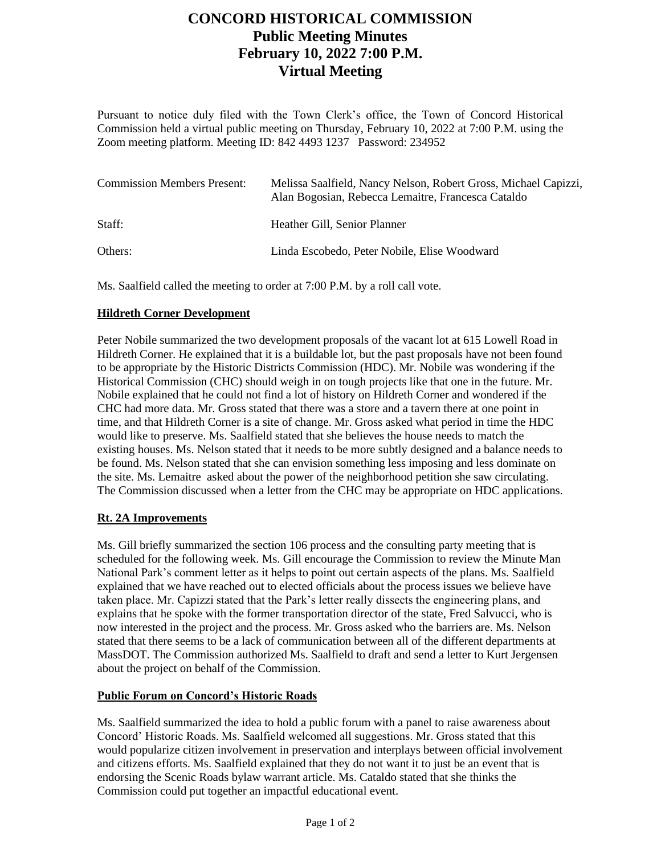# **CONCORD HISTORICAL COMMISSION Public Meeting Minutes February 10, 2022 7:00 P.M. Virtual Meeting**

Pursuant to notice duly filed with the Town Clerk's office, the Town of Concord Historical Commission held a virtual public meeting on Thursday, February 10, 2022 at 7:00 P.M. using the Zoom meeting platform. Meeting ID: 842 4493 1237 Password: 234952

| <b>Commission Members Present:</b> | Melissa Saalfield, Nancy Nelson, Robert Gross, Michael Capizzi,<br>Alan Bogosian, Rebecca Lemaitre, Francesca Cataldo |
|------------------------------------|-----------------------------------------------------------------------------------------------------------------------|
| Staff:                             | Heather Gill, Senior Planner                                                                                          |
| Others:                            | Linda Escobedo, Peter Nobile, Elise Woodward                                                                          |

Ms. Saalfield called the meeting to order at 7:00 P.M. by a roll call vote.

## **Hildreth Corner Development**

Peter Nobile summarized the two development proposals of the vacant lot at 615 Lowell Road in Hildreth Corner. He explained that it is a buildable lot, but the past proposals have not been found to be appropriate by the Historic Districts Commission (HDC). Mr. Nobile was wondering if the Historical Commission (CHC) should weigh in on tough projects like that one in the future. Mr. Nobile explained that he could not find a lot of history on Hildreth Corner and wondered if the CHC had more data. Mr. Gross stated that there was a store and a tavern there at one point in time, and that Hildreth Corner is a site of change. Mr. Gross asked what period in time the HDC would like to preserve. Ms. Saalfield stated that she believes the house needs to match the existing houses. Ms. Nelson stated that it needs to be more subtly designed and a balance needs to be found. Ms. Nelson stated that she can envision something less imposing and less dominate on the site. Ms. Lemaitre asked about the power of the neighborhood petition she saw circulating. The Commission discussed when a letter from the CHC may be appropriate on HDC applications.

## **Rt. 2A Improvements**

Ms. Gill briefly summarized the section 106 process and the consulting party meeting that is scheduled for the following week. Ms. Gill encourage the Commission to review the Minute Man National Park's comment letter as it helps to point out certain aspects of the plans. Ms. Saalfield explained that we have reached out to elected officials about the process issues we believe have taken place. Mr. Capizzi stated that the Park's letter really dissects the engineering plans, and explains that he spoke with the former transportation director of the state, Fred Salvucci, who is now interested in the project and the process. Mr. Gross asked who the barriers are. Ms. Nelson stated that there seems to be a lack of communication between all of the different departments at MassDOT. The Commission authorized Ms. Saalfield to draft and send a letter to Kurt Jergensen about the project on behalf of the Commission.

### **Public Forum on Concord's Historic Roads**

Ms. Saalfield summarized the idea to hold a public forum with a panel to raise awareness about Concord' Historic Roads. Ms. Saalfield welcomed all suggestions. Mr. Gross stated that this would popularize citizen involvement in preservation and interplays between official involvement and citizens efforts. Ms. Saalfield explained that they do not want it to just be an event that is endorsing the Scenic Roads bylaw warrant article. Ms. Cataldo stated that she thinks the Commission could put together an impactful educational event.